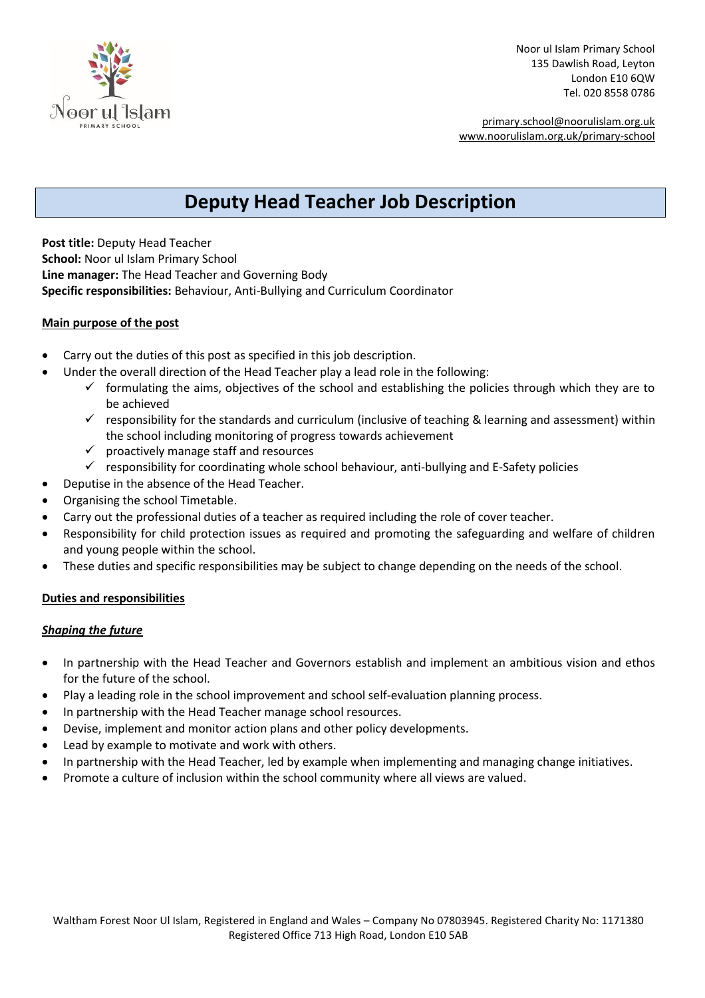

Noor ul Islam Primary School 135 Dawlish Road, Leyton London E10 6QW Tel. 020 8558 0786

[primary.school@noorulislam.org.uk](mailto:primary.school@noorulislam.org.uk) [www.noorulislam.org.uk/](http://www.noorulislam.org.uk/)primary-school

# **Deputy Head Teacher Job Description**

**Post title:** Deputy Head Teacher **School:** Noor ul Islam Primary School **Line manager:** The Head Teacher and Governing Body **Specific responsibilities:** Behaviour, Anti-Bullying and Curriculum Coordinator

# **Main purpose of the post**

- Carry out the duties of this post as specified in this job description.
	- Under the overall direction of the Head Teacher play a lead role in the following:
		- $\checkmark$  formulating the aims, objectives of the school and establishing the policies through which they are to be achieved
		- $\checkmark$  responsibility for the standards and curriculum (inclusive of teaching & learning and assessment) within the school including monitoring of progress towards achievement
		- $\checkmark$  proactively manage staff and resources
		- $\checkmark$  responsibility for coordinating whole school behaviour, anti-bullying and E-Safety policies
- Deputise in the absence of the Head Teacher.
- Organising the school Timetable.
- Carry out the professional duties of a teacher as required including the role of cover teacher.
- Responsibility for child protection issues as required and promoting the safeguarding and welfare of children and young people within the school.
- These duties and specific responsibilities may be subject to change depending on the needs of the school.

## **Duties and responsibilities**

## *Shaping the future*

- In partnership with the Head Teacher and Governors establish and implement an ambitious vision and ethos for the future of the school.
- Play a leading role in the school improvement and school self-evaluation planning process.
- In partnership with the Head Teacher manage school resources.
- Devise, implement and monitor action plans and other policy developments.
- Lead by example to motivate and work with others.
- In partnership with the Head Teacher, led by example when implementing and managing change initiatives.
- Promote a culture of inclusion within the school community where all views are valued.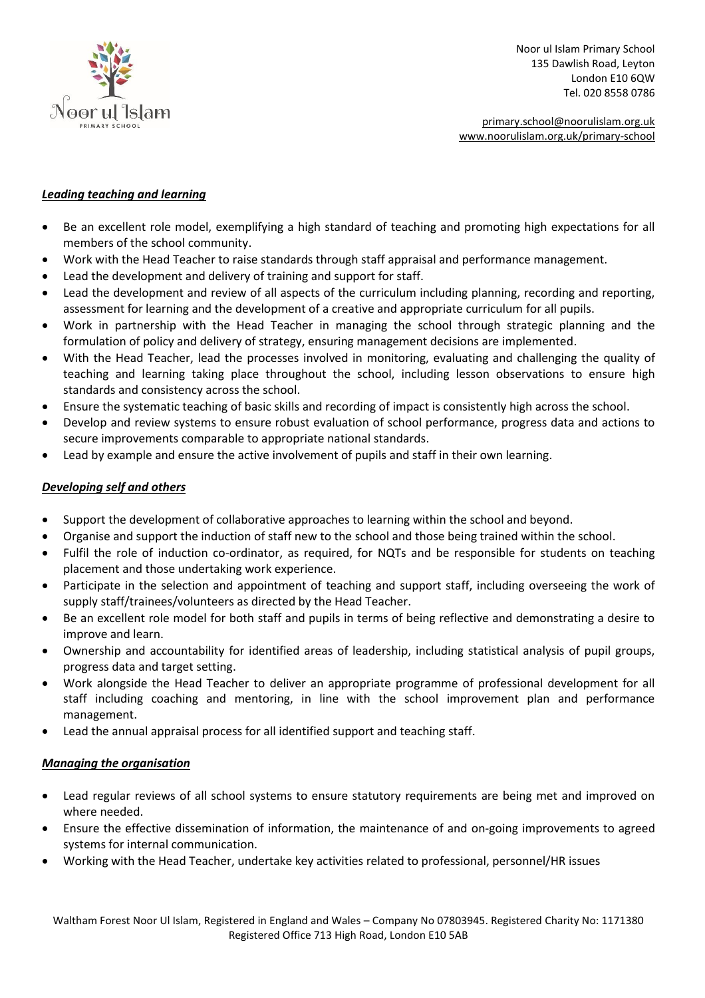

Noor ul Islam Primary School 135 Dawlish Road, Leyton London E10 6QW Tel. 020 8558 0786

[primary.school@noorulislam.org.uk](mailto:primary.school@noorulislam.org.uk) [www.noorulislam.org.uk/](http://www.noorulislam.org.uk/)primary-school

## *Leading teaching and learning*

- Be an excellent role model, exemplifying a high standard of teaching and promoting high expectations for all members of the school community.
- Work with the Head Teacher to raise standards through staff appraisal and performance management.
- Lead the development and delivery of training and support for staff.
- Lead the development and review of all aspects of the curriculum including planning, recording and reporting, assessment for learning and the development of a creative and appropriate curriculum for all pupils.
- Work in partnership with the Head Teacher in managing the school through strategic planning and the formulation of policy and delivery of strategy, ensuring management decisions are implemented.
- With the Head Teacher, lead the processes involved in monitoring, evaluating and challenging the quality of teaching and learning taking place throughout the school, including lesson observations to ensure high standards and consistency across the school.
- Ensure the systematic teaching of basic skills and recording of impact is consistently high across the school.
- Develop and review systems to ensure robust evaluation of school performance, progress data and actions to secure improvements comparable to appropriate national standards.
- Lead by example and ensure the active involvement of pupils and staff in their own learning.

## *Developing self and others*

- Support the development of collaborative approaches to learning within the school and beyond.
- Organise and support the induction of staff new to the school and those being trained within the school.
- Fulfil the role of induction co-ordinator, as required, for NQTs and be responsible for students on teaching placement and those undertaking work experience.
- Participate in the selection and appointment of teaching and support staff, including overseeing the work of supply staff/trainees/volunteers as directed by the Head Teacher.
- Be an excellent role model for both staff and pupils in terms of being reflective and demonstrating a desire to improve and learn.
- Ownership and accountability for identified areas of leadership, including statistical analysis of pupil groups, progress data and target setting.
- Work alongside the Head Teacher to deliver an appropriate programme of professional development for all staff including coaching and mentoring, in line with the school improvement plan and performance management.
- Lead the annual appraisal process for all identified support and teaching staff.

## *Managing the organisation*

- Lead regular reviews of all school systems to ensure statutory requirements are being met and improved on where needed.
- Ensure the effective dissemination of information, the maintenance of and on-going improvements to agreed systems for internal communication.
- Working with the Head Teacher, undertake key activities related to professional, personnel/HR issues